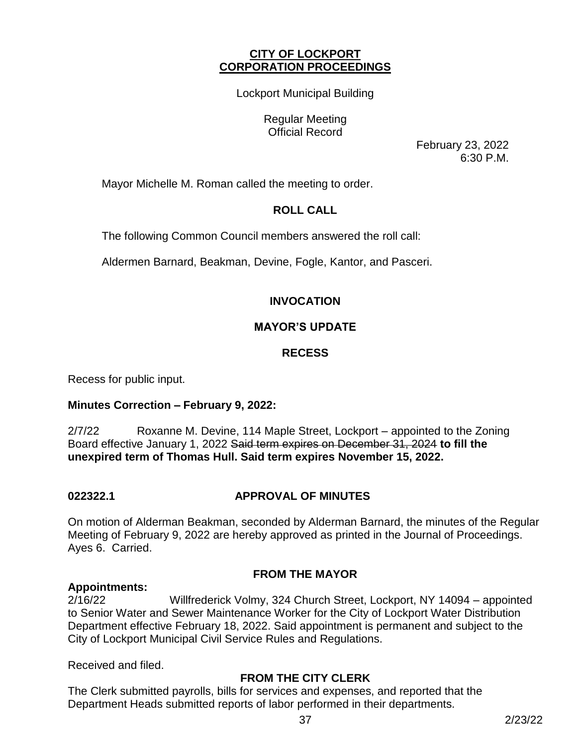## **CITY OF LOCKPORT CORPORATION PROCEEDINGS**

Lockport Municipal Building

Regular Meeting Official Record

> February 23, 2022 6:30 P.M.

Mayor Michelle M. Roman called the meeting to order.

# **ROLL CALL**

The following Common Council members answered the roll call:

Aldermen Barnard, Beakman, Devine, Fogle, Kantor, and Pasceri.

# **INVOCATION**

# **MAYOR'S UPDATE**

# **RECESS**

Recess for public input.

## **Minutes Correction – February 9, 2022:**

2/7/22 Roxanne M. Devine, 114 Maple Street, Lockport – appointed to the Zoning Board effective January 1, 2022 Said term expires on December 31, 2024 **to fill the unexpired term of Thomas Hull. Said term expires November 15, 2022.** 

## **022322.1 APPROVAL OF MINUTES**

On motion of Alderman Beakman, seconded by Alderman Barnard, the minutes of the Regular Meeting of February 9, 2022 are hereby approved as printed in the Journal of Proceedings. Ayes 6. Carried.

## **FROM THE MAYOR**

## **Appointments:**

2/16/22 Willfrederick Volmy, 324 Church Street, Lockport, NY 14094 – appointed to Senior Water and Sewer Maintenance Worker for the City of Lockport Water Distribution Department effective February 18, 2022. Said appointment is permanent and subject to the City of Lockport Municipal Civil Service Rules and Regulations.

Received and filed.

## **FROM THE CITY CLERK**

The Clerk submitted payrolls, bills for services and expenses, and reported that the Department Heads submitted reports of labor performed in their departments.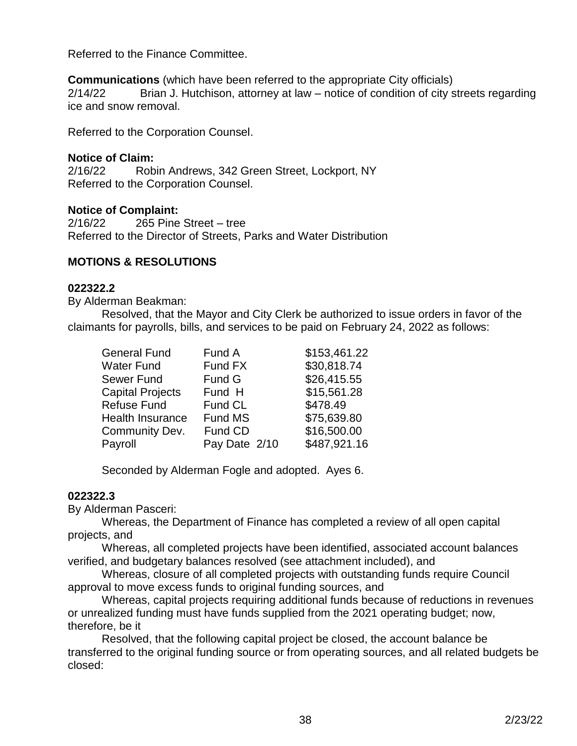Referred to the Finance Committee.

**Communications** (which have been referred to the appropriate City officials) 2/14/22 Brian J. Hutchison, attorney at law – notice of condition of city streets regarding ice and snow removal.

Referred to the Corporation Counsel.

# **Notice of Claim:**

2/16/22 Robin Andrews, 342 Green Street, Lockport, NY Referred to the Corporation Counsel.

# **Notice of Complaint:**

2/16/22 265 Pine Street – tree Referred to the Director of Streets, Parks and Water Distribution

# **MOTIONS & RESOLUTIONS**

#### **022322.2**

By Alderman Beakman:

Resolved, that the Mayor and City Clerk be authorized to issue orders in favor of the claimants for payrolls, bills, and services to be paid on February 24, 2022 as follows:

| <b>General Fund</b>     | Fund A        | \$153,461.22 |
|-------------------------|---------------|--------------|
| Water Fund              | Fund FX       | \$30,818.74  |
| Sewer Fund              | Fund G        | \$26,415.55  |
| <b>Capital Projects</b> | Fund H        | \$15,561.28  |
| Refuse Fund             | Fund CL       | \$478.49     |
| <b>Health Insurance</b> | Fund MS       | \$75,639.80  |
| Community Dev.          | Fund CD       | \$16,500.00  |
| Payroll                 | Pay Date 2/10 | \$487,921.16 |

Seconded by Alderman Fogle and adopted. Ayes 6.

## **022322.3**

By Alderman Pasceri:

Whereas, the Department of Finance has completed a review of all open capital projects, and

Whereas, all completed projects have been identified, associated account balances verified, and budgetary balances resolved (see attachment included), and

Whereas, closure of all completed projects with outstanding funds require Council approval to move excess funds to original funding sources, and

Whereas, capital projects requiring additional funds because of reductions in revenues or unrealized funding must have funds supplied from the 2021 operating budget; now, therefore, be it

Resolved, that the following capital project be closed, the account balance be transferred to the original funding source or from operating sources, and all related budgets be closed: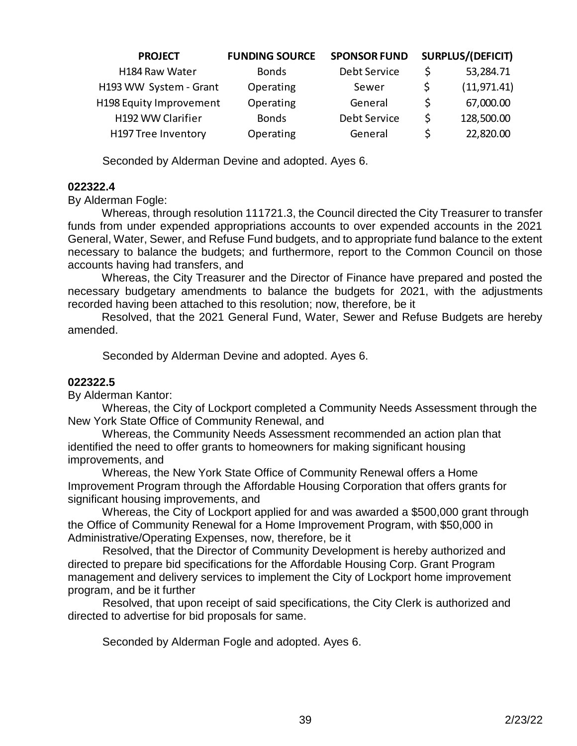| <b>PROJECT</b>             | <b>FUNDING SOURCE</b> | <b>SPONSOR FUND</b> |   | <b>SURPLUS/(DEFICIT)</b> |
|----------------------------|-----------------------|---------------------|---|--------------------------|
| H184 Raw Water             | <b>Bonds</b>          | Debt Service        |   | 53,284.71                |
| H193 WW System - Grant     | Operating             | Sewer               |   | (11, 971.41)             |
| H198 Equity Improvement    | Operating             | General             | S | 67,000.00                |
| H192 WW Clarifier          | <b>Bonds</b>          | Debt Service        | S | 128,500.00               |
| <b>H197 Tree Inventory</b> | Operating             | General             |   | 22,820.00                |

Seconded by Alderman Devine and adopted. Ayes 6.

#### **022322.4**

By Alderman Fogle:

Whereas, through resolution 111721.3, the Council directed the City Treasurer to transfer funds from under expended appropriations accounts to over expended accounts in the 2021 General, Water, Sewer, and Refuse Fund budgets, and to appropriate fund balance to the extent necessary to balance the budgets; and furthermore, report to the Common Council on those accounts having had transfers, and

Whereas, the City Treasurer and the Director of Finance have prepared and posted the necessary budgetary amendments to balance the budgets for 2021, with the adjustments recorded having been attached to this resolution; now, therefore, be it

Resolved, that the 2021 General Fund, Water, Sewer and Refuse Budgets are hereby amended.

Seconded by Alderman Devine and adopted. Ayes 6.

#### **022322.5**

By Alderman Kantor:

 Whereas, the City of Lockport completed a Community Needs Assessment through the New York State Office of Community Renewal, and

 Whereas, the Community Needs Assessment recommended an action plan that identified the need to offer grants to homeowners for making significant housing improvements, and

 Whereas, the New York State Office of Community Renewal offers a Home Improvement Program through the Affordable Housing Corporation that offers grants for significant housing improvements, and

 Whereas, the City of Lockport applied for and was awarded a \$500,000 grant through the Office of Community Renewal for a Home Improvement Program, with \$50,000 in Administrative/Operating Expenses, now, therefore, be it

 Resolved, that the Director of Community Development is hereby authorized and directed to prepare bid specifications for the Affordable Housing Corp. Grant Program management and delivery services to implement the City of Lockport home improvement program, and be it further

 Resolved, that upon receipt of said specifications, the City Clerk is authorized and directed to advertise for bid proposals for same.

Seconded by Alderman Fogle and adopted. Ayes 6.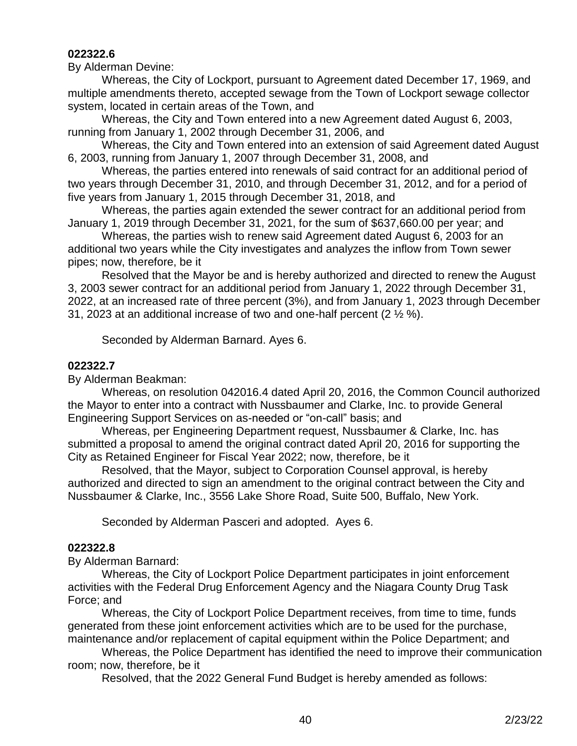## **022322.6**

By Alderman Devine:

Whereas, the City of Lockport, pursuant to Agreement dated December 17, 1969, and multiple amendments thereto, accepted sewage from the Town of Lockport sewage collector system, located in certain areas of the Town, and

Whereas, the City and Town entered into a new Agreement dated August 6, 2003, running from January 1, 2002 through December 31, 2006, and

Whereas, the City and Town entered into an extension of said Agreement dated August 6, 2003, running from January 1, 2007 through December 31, 2008, and

Whereas, the parties entered into renewals of said contract for an additional period of two years through December 31, 2010, and through December 31, 2012, and for a period of five years from January 1, 2015 through December 31, 2018, and

Whereas, the parties again extended the sewer contract for an additional period from January 1, 2019 through December 31, 2021, for the sum of \$637,660.00 per year; and

Whereas, the parties wish to renew said Agreement dated August 6, 2003 for an additional two years while the City investigates and analyzes the inflow from Town sewer pipes; now, therefore, be it

Resolved that the Mayor be and is hereby authorized and directed to renew the August 3, 2003 sewer contract for an additional period from January 1, 2022 through December 31, 2022, at an increased rate of three percent (3%), and from January 1, 2023 through December 31, 2023 at an additional increase of two and one-half percent (2 ½ %).

Seconded by Alderman Barnard. Ayes 6.

#### **022322.7**

By Alderman Beakman:

Whereas, on resolution 042016.4 dated April 20, 2016, the Common Council authorized the Mayor to enter into a contract with Nussbaumer and Clarke, Inc. to provide General Engineering Support Services on as-needed or "on-call" basis; and

Whereas, per Engineering Department request, Nussbaumer & Clarke, Inc. has submitted a proposal to amend the original contract dated April 20, 2016 for supporting the City as Retained Engineer for Fiscal Year 2022; now, therefore, be it

Resolved, that the Mayor, subject to Corporation Counsel approval, is hereby authorized and directed to sign an amendment to the original contract between the City and Nussbaumer & Clarke, Inc., 3556 Lake Shore Road, Suite 500, Buffalo, New York.

Seconded by Alderman Pasceri and adopted. Ayes 6.

#### **022322.8**

By Alderman Barnard:

Whereas, the City of Lockport Police Department participates in joint enforcement activities with the Federal Drug Enforcement Agency and the Niagara County Drug Task Force; and

Whereas, the City of Lockport Police Department receives, from time to time, funds generated from these joint enforcement activities which are to be used for the purchase, maintenance and/or replacement of capital equipment within the Police Department; and

Whereas, the Police Department has identified the need to improve their communication room; now, therefore, be it

Resolved, that the 2022 General Fund Budget is hereby amended as follows: